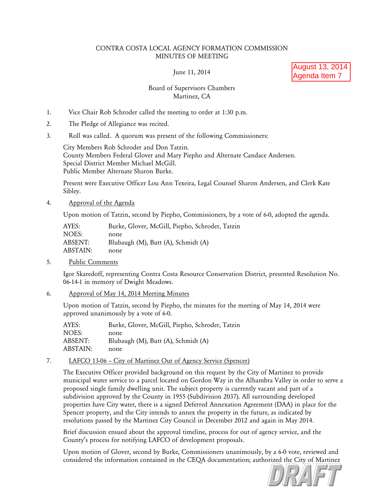## CONTRA COSTA LOCAL AGENCY FORMATION COMMISSION MINUTES OF MEETING

June 11, 2014

August 13, 2014 Agenda Item 7

# Board of Supervisors Chambers Martinez, CA

- 1. Vice Chair Rob Schroder called the meeting to order at 1:30 p.m.
- 2. The Pledge of Allegiance was recited.
- 3. Roll was called. A quorum was present of the following Commissioners:

City Members Rob Schroder and Don Tatzin. County Members Federal Glover and Mary Piepho and Alternate Candace Andersen. Special District Member Michael McGill. Public Member Alternate Sharon Burke.

Present were Executive Officer Lou Ann Texeira, Legal Counsel Sharon Andersen, and Clerk Kate Sibley.

### 4. Approval of the Agenda

Upon motion of Tatzin, second by Piepho, Commissioners, by a vote of 6-0, adopted the agenda.

| AYES:    | Burke, Glover, McGill, Piepho, Schroder, Tatzin |
|----------|-------------------------------------------------|
| NOES:    | none                                            |
| ABSENT:  | Blubaugh (M), Butt (A), Schmidt (A)             |
| ABSTAIN: | none                                            |
|          |                                                 |

5. Public Comments

Igor Skaredoff, representing Contra Costa Resource Conservation District, presented Resolution No. 06-14-1 in memory of Dwight Meadows.

6. Approval of May 14, 2014 Meeting Minutes

Upon motion of Tatzin, second by Piepho, the minutes for the meeting of May 14, 2014 were approved unanimously by a vote of 6-0.

| AYES:    | Burke, Glover, McGill, Piepho, Schroder, Tatzin |
|----------|-------------------------------------------------|
| NOES:    | none                                            |
| ABSENT:  | Blubaugh (M), Butt (A), Schmidt (A)             |
| ABSTAIN: | none                                            |
|          |                                                 |

7. LAFCO 13-06 – City of Martinez Out of Agency Service (Spencer)

The Executive Officer provided background on this request by the City of Martinez to provide municipal water service to a parcel located on Gordon Way in the Alhambra Valley in order to serve a proposed single family dwelling unit. The subject property is currently vacant and part of a subdivision approved by the County in 1955 (Subdivision 2037). All surrounding developed properties have City water, there is a signed Deferred Annexation Agreement (DAA) in place for the Spencer property, and the City intends to annex the property in the future, as indicated by resolutions passed by the Martinez City Council in December 2012 and again in May 2014.

Brief discussion ensued about the approval timeline, process for out of agency service, and the County's process for notifying LAFCO of development proposals.

Upon motion of Glover, second by Burke, Commissioners unanimously, by a 6-0 vote, reviewed and considered the information contained in the CEQA documentation; authorized the City of Martinez

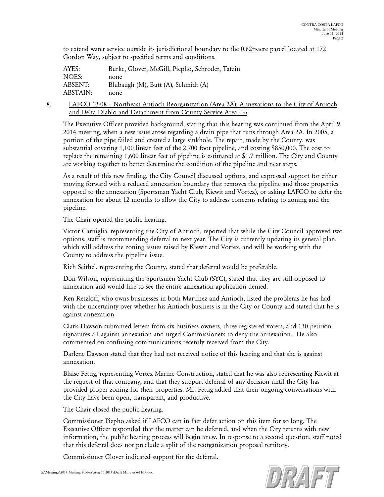to extend water service outside its jurisdictional boundary to the 0.82+-acre parcel located at 172 Gordon Way, subject to specified terms and conditions.

| AYES:    | Burke, Glover, McGill, Piepho, Schroder, Tatzin |
|----------|-------------------------------------------------|
| NOES:    | none                                            |
| ABSENT:  | Blubaugh (M), Butt (A), Schmidt (A)             |
| ABSTAIN: | none                                            |

8. LAFCO 13-08 – Northeast Antioch Reorganization (Area 2A): Annexations to the City of Antioch and Delta Diablo and Detachment from County Service Area P-6

The Executive Officer provided background, stating that this hearing was continued from the April 9, 2014 meeting, when a new issue arose regarding a drain pipe that runs through Area 2A. In 2005, a portion of the pipe failed and created a large sinkhole. The repair, made by the County, was substantial covering 1,100 linear feet of the 2,700 foot pipeline, and costing \$850,000. The cost to replace the remaining 1,600 linear feet of pipeline is estimated at \$1.7 million. The City and County are working together to better determine the condition of the pipeline and next steps.

As a result of this new finding, the City Council discussed options, and expressed support for either moving forward with a reduced annexation boundary that removes the pipeline and those properties opposed to the annexation (Sportsman Yacht Club, Kiewit and Vortez), or asking LAFCO to defer the annexation for about 12 months to allow the City to address concerns relating to zoning and the pipeline.

The Chair opened the public hearing.

Victor Carniglia, representing the City of Antioch, reported that while the City Council approved two options, staff is recommending deferral to next year. The City is currently updating its general plan, which will address the zoning issues raised by Kiewit and Vortex, and will be working with the County to address the pipeline issue.

Rich Seithel, representing the County, stated that deferral would be preferable.

Don Wilson, representing the Sportsmen Yacht Club (SYC), stated that they are still opposed to annexation and would like to see the entire annexation application denied.

Ken Retzloff, who owns businesses in both Martinez and Antioch, listed the problems he has had with the uncertainty over whether his Antioch business is in the City or County and stated that he is against annexation.

Clark Dawson submitted letters from six business owners, three registered voters, and 130 petition signatures all against annexation and urged Commissioners to deny the annexation. He also commented on confusing communications recently received from the City.

Darlene Dawson stated that they had not received notice of this hearing and that she is against annexation.

Blaise Fettig, representing Vortex Marine Construction, stated that he was also representing Kiewit at the request of that company, and that they support deferral of any decision until the City has provided proper zoning for their properties. Mr. Fettig added that their ongoing conversations with the City have been open, transparent, and productive.

The Chair closed the public hearing.

Commissioner Piepho asked if LAFCO can in fact defer action on this item for so long. The Executive Officer responded that the matter can be deferred, and when the City returns with new information, the public hearing process will begin anew. In response to a second question, staff noted that this deferral does not preclude a split of the reorganization proposal territory.

Commissioner Glover indicated support for the deferral.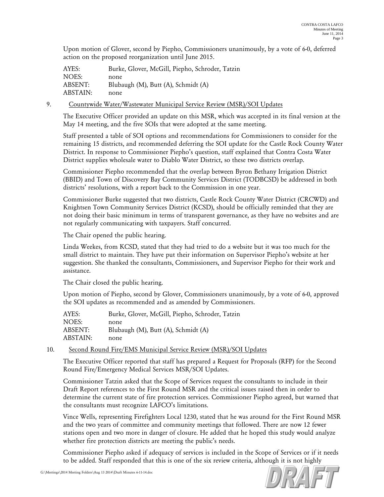Upon motion of Glover, second by Piepho, Commissioners unanimously, by a vote of 6-0, deferred action on the proposed reorganization until June 2015.

| AYES:    | Burke, Glover, McGill, Piepho, Schroder, Tatzin |
|----------|-------------------------------------------------|
| NOES:    | none                                            |
| ABSENT:  | Blubaugh (M), Butt (A), Schmidt (A)             |
| ABSTAIN: | none                                            |

## 9. Countywide Water/Wastewater Municipal Service Review (MSR)/SOI Updates

The Executive Officer provided an update on this MSR, which was accepted in its final version at the May 14 meeting, and the five SOIs that were adopted at the same meeting.

Staff presented a table of SOI options and recommendations for Commissioners to consider for the remaining 15 districts, and recommended deferring the SOI update for the Castle Rock County Water District. In response to Commissioner Piepho's question, staff explained that Contra Costa Water District supplies wholesale water to Diablo Water District, so these two districts overlap.

Commissioner Piepho recommended that the overlap between Byron Bethany Irrigation District (BBID) and Town of Discovery Bay Community Services District (TODBCSD) be addressed in both districts' resolutions, with a report back to the Commission in one year.

Commissioner Burke suggested that two districts, Castle Rock County Water District (CRCWD) and Knightsen Town Community Services District (KCSD), should be officially reminded that they are not doing their basic minimum in terms of transparent governance, as they have no websites and are not regularly communicating with taxpayers. Staff concurred.

The Chair opened the public hearing.

Linda Weekes, from KCSD, stated that they had tried to do a website but it was too much for the small district to maintain. They have put their information on Supervisor Piepho's website at her suggestion. She thanked the consultants, Commissioners, and Supervisor Piepho for their work and assistance.

The Chair closed the public hearing.

Upon motion of Piepho, second by Glover, Commissioners unanimously, by a vote of 6-0, approved the SOI updates as recommended and as amended by Commissioners.

| AYES:    | Burke, Glover, McGill, Piepho, Schroder, Tatzin |
|----------|-------------------------------------------------|
| NOES:    | none                                            |
| ABSENT:  | Blubaugh (M), Butt (A), Schmidt (A)             |
| ABSTAIN: | none                                            |
|          |                                                 |

## 10. Second Round Fire/EMS Municipal Service Review (MSR)/SOI Updates

The Executive Officer reported that staff has prepared a Request for Proposals (RFP) for the Second Round Fire/Emergency Medical Services MSR/SOI Updates.

Commissioner Tatzin asked that the Scope of Services request the consultants to include in their Draft Report references to the First Round MSR and the critical issues raised then in order to determine the current state of fire protection services. Commissioner Piepho agreed, but warned that the consultants must recognize LAFCO's limitations.

Vince Wells, representing Firefighters Local 1230, stated that he was around for the First Round MSR and the two years of committee and community meetings that followed. There are now 12 fewer stations open and two more in danger of closure. He added that he hoped this study would analyze whether fire protection districts are meeting the public's needs.

Commissioner Piepho asked if adequacy of services is included in the Scope of Services or if it needs to be added. Staff responded that this is one of the six review criteria, although it is not highly